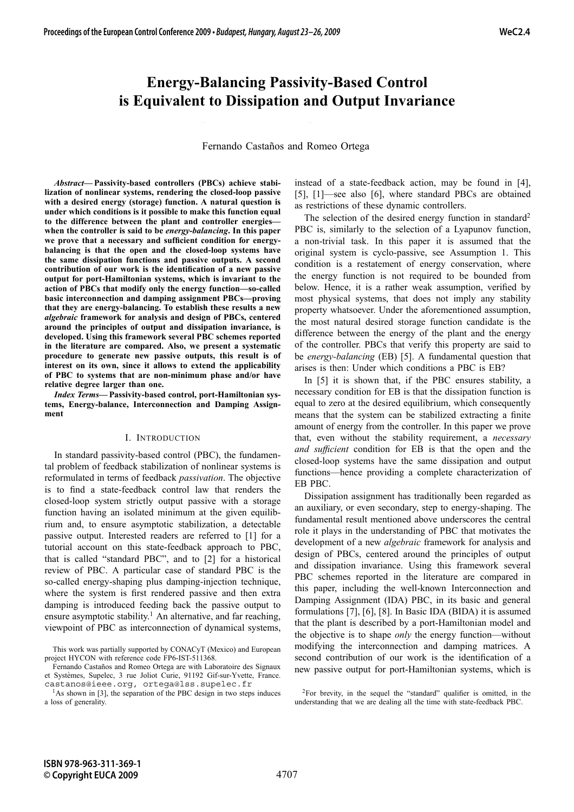# **Energy-Balancing Passivity-Based Control Energy-Balancing Passivity-Based Control Is Equivalent To is Equivalent to Dissipation and Output Invariance Dissipation And Output Invariance**

Fernando Castaños and Romeo Ortega

*Abstract***— Passivity-based controllers (PBCs) achieve stabilization of nonlinear systems, rendering the closed-loop passive with a desired energy (storage) function. A natural question is under which conditions is it possible to make this function equal to the difference between the plant and controller energies when the controller is said to be** *energy-balancing***. In this paper we prove that a necessary and sufficient condition for energybalancing is that the open and the closed-loop systems have the same dissipation functions and passive outputs. A second contribution of our work is the identification of a new passive output for port-Hamiltonian systems, which is invariant to the action of PBCs that modify only the energy function—so-called basic interconnection and damping assignment PBCs—proving that they are energy-balancing. To establish these results a new** *algebraic* **framework for analysis and design of PBCs, centered around the principles of output and dissipation invariance, is developed. Using this framework several PBC schemes reported in the literature are compared. Also, we present a systematic procedure to generate new passive outputs, this result is of interest on its own, since it allows to extend the applicability of PBC to systems that are non-minimum phase and/or have relative degree larger than one.**

*Index Terms***— Passivity-based control, port-Hamiltonian systems, Energy-balance, Interconnection and Damping Assignment**

### I. INTRODUCTION

In standard passivity-based control (PBC), the fundamental problem of feedback stabilization of nonlinear systems is reformulated in terms of feedback *passivation*. The objective is to find a state-feedback control law that renders the closed-loop system strictly output passive with a storage function having an isolated minimum at the given equilibrium and, to ensure asymptotic stabilization, a detectable passive output. Interested readers are referred to [1] for a tutorial account on this state-feedback approach to PBC, that is called "standard PBC", and to [2] for a historical review of PBC. A particular case of standard PBC is the so-called energy-shaping plus damping-injection technique, where the system is first rendered passive and then extra damping is introduced feeding back the passive output to ensure asymptotic stability.<sup>1</sup> An alternative, and far reaching, viewpoint of PBC as interconnection of dynamical systems,

instead of a state-feedback action, may be found in [4], [5], [1]—see also [6], where standard PBCs are obtained as restrictions of these dynamic controllers.

The selection of the desired energy function in standard<sup>2</sup> PBC is, similarly to the selection of a Lyapunov function, a non-trivial task. In this paper it is assumed that the original system is cyclo-passive, see Assumption 1. This condition is a restatement of energy conservation, where the energy function is not required to be bounded from below. Hence, it is a rather weak assumption, verified by most physical systems, that does not imply any stability property whatsoever. Under the aforementioned assumption, the most natural desired storage function candidate is the difference between the energy of the plant and the energy of the controller. PBCs that verify this property are said to be *energy-balancing* (EB) [5]. A fundamental question that arises is then: Under which conditions a PBC is EB?

In [5] it is shown that, if the PBC ensures stability, a necessary condition for EB is that the dissipation function is equal to zero at the desired equilibrium, which consequently means that the system can be stabilized extracting a finite amount of energy from the controller. In this paper we prove that, even without the stability requirement, a *necessary and sufficient* condition for EB is that the open and the closed-loop systems have the same dissipation and output functions—hence providing a complete characterization of EB PBC.

Dissipation assignment has traditionally been regarded as an auxiliary, or even secondary, step to energy-shaping. The fundamental result mentioned above underscores the central role it plays in the understanding of PBC that motivates the development of a new *algebraic* framework for analysis and design of PBCs, centered around the principles of output and dissipation invariance. Using this framework several PBC schemes reported in the literature are compared in this paper, including the well-known Interconnection and Damping Assignment (IDA) PBC, in its basic and general formulations [7], [6], [8]. In Basic IDA (BIDA) it is assumed that the plant is described by a port-Hamiltonian model and the objective is to shape *only* the energy function—without modifying the interconnection and damping matrices. A second contribution of our work is the identification of a new passive output for port-Hamiltonian systems, which is

This work was partially supported by CONACyT (Mexico) and European project HYCON with reference code FP6-IST-511368.

Fernando Castaños and Romeo Ortega are with Laboratoire des Signaux et Systemes, Supelec, 3 rue Joliot Curie, 91192 Gif-sur-Yvette, France. `

castanos@ieee.org, ortega@lss.supelec.fr 1As shown in [3], the separation of the PBC design in two steps induces a loss of generality.

 $2F$  For brevity, in the sequel the "standard" qualifier is omitted, in the understanding that we are dealing all the time with state-feedback PBC.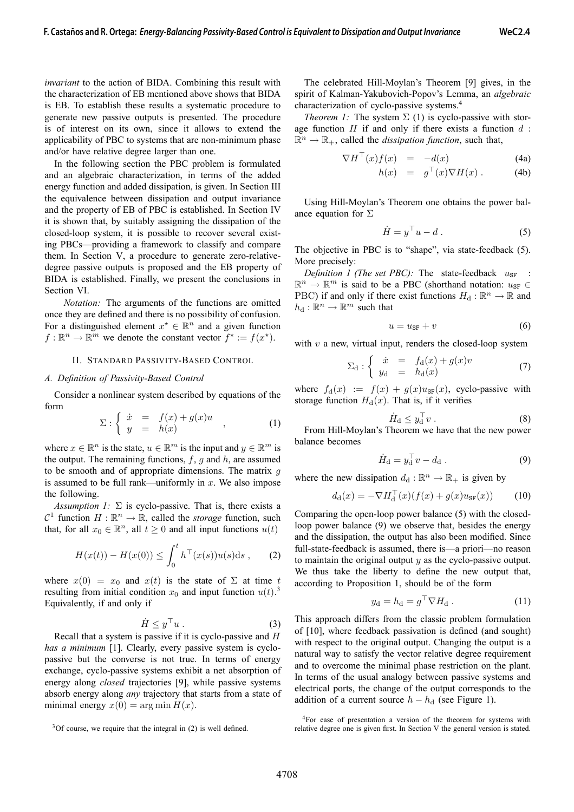*invariant* to the action of BIDA. Combining this result with the characterization of EB mentioned above shows that BIDA is EB. To establish these results a systematic procedure to generate new passive outputs is presented. The procedure is of interest on its own, since it allows to extend the applicability of PBC to systems that are non-minimum phase and/or have relative degree larger than one.

In the following section the PBC problem is formulated and an algebraic characterization, in terms of the added energy function and added dissipation, is given. In Section III the equivalence between dissipation and output invariance and the property of EB of PBC is established. In Section IV it is shown that, by suitably assigning the dissipation of the closed-loop system, it is possible to recover several existing PBCs—providing a framework to classify and compare them. In Section V, a procedure to generate zero-relativedegree passive outputs is proposed and the EB property of BIDA is established. Finally, we present the conclusions in Section VI.

*Notation:* The arguments of the functions are omitted once they are defined and there is no possibility of confusion. For a distinguished element  $x^* \in \mathbb{R}^n$  and a given function  $f: \mathbb{R}^n \to \mathbb{R}^m$  we denote the constant vector  $f^* := f(x^*)$ .

# II. STANDARD PASSIVITY-BASED CONTROL

## *A. Definition of Passivity-Based Control*

Consider a nonlinear system described by equations of the form

$$
\Sigma: \begin{cases} \dot{x} = f(x) + g(x)u \\ y = h(x) \end{cases} , \qquad (1)
$$

where  $x \in \mathbb{R}^n$  is the state,  $u \in \mathbb{R}^m$  is the input and  $y \in \mathbb{R}^m$  is the output. The remaining functions,  $f$ ,  $g$  and  $h$ , are assumed to be smooth and of appropriate dimensions. The matrix  $g$ is assumed to be full rank—uniformly in  $x$ . We also impose the following.

*Assumption 1:*  $\Sigma$  is cyclo-passive. That is, there exists a  $C^1$  function  $H : \mathbb{R}^n \to \mathbb{R}$ , called the *storage* function, such that, for all  $x_0 \in \mathbb{R}^n$ , all  $t \geq 0$  and all input functions  $u(t)$ 

$$
H(x(t)) - H(x(0)) \le \int_0^t h^\top(x(s))u(s)ds , \qquad (2)
$$

where  $x(0) = x_0$  and  $x(t)$  is the state of  $\Sigma$  at time t resulting from initial condition  $x_0$  and input function  $u(t)$ .<sup>3</sup> Equivalently, if and only if

$$
\dot{H} \le y^\top u \tag{3}
$$

Recall that a system is passive if it is cyclo-passive and H *has a minimum* [1]. Clearly, every passive system is cyclopassive but the converse is not true. In terms of energy exchange, cyclo-passive systems exhibit a net absorption of energy along *closed* trajectories [9], while passive systems absorb energy along *any* trajectory that starts from a state of minimal energy  $x(0) = \arg \min H(x)$ .

The celebrated Hill-Moylan's Theorem [9] gives, in the spirit of Kalman-Yakubovich-Popov's Lemma, an *algebraic* characterization of cyclo-passive systems.4

*Theorem 1:* The system  $\Sigma$  (1) is cyclo-passive with storage function  $H$  if and only if there exists a function  $d$  :  $\mathbb{R}^n \to \mathbb{R}_+$ , called the *dissipation function*, such that,

$$
\nabla H^{\top}(x)f(x) = -d(x) \tag{4a}
$$

$$
h(x) = g^{\top}(x)\nabla H(x) . \qquad (4b)
$$

Using Hill-Moylan's Theorem one obtains the power balance equation for  $\Sigma$ 

$$
\dot{H} = y^\top u - d \,. \tag{5}
$$

The objective in PBC is to "shape", via state-feedback (5). More precisely:

*Definition 1 (The set PBC):* The state-feedback  $u_{SF}$  :  $\mathbb{R}^n \to \mathbb{R}^m$  is said to be a PBC (shorthand notation:  $u_{\text{SF}} \in$ PBC) if and only if there exist functions  $H_d : \mathbb{R}^n \to \mathbb{R}$  and  $h_d : \mathbb{R}^n \to \mathbb{R}^m$  such that

$$
u = u_{\rm SF} + v \tag{6}
$$

with  $v$  a new, virtual input, renders the closed-loop system

$$
\Sigma_{\mathbf{d}} : \begin{cases} \dot{x} = f_{\mathbf{d}}(x) + g(x)v \\ y_{\mathbf{d}} = h_{\mathbf{d}}(x) \end{cases} \tag{7}
$$

where  $f_d(x) := f(x) + q(x)u_{SF}(x)$ , cyclo-passive with storage function  $H_d(x)$ . That is, if it verifies

$$
\dot{H}_{\rm d} \leq y_{\rm d}^{\top} v \ . \tag{8}
$$

From Hill-Moylan's Theorem we have that the new power balance becomes

$$
\dot{H}_{\rm d} = y_{\rm d}^{\top} v - d_{\rm d} \ . \tag{9}
$$

where the new dissipation  $d_d : \mathbb{R}^n \to \mathbb{R}_+$  is given by

$$
d_{\mathbf{d}}(x) = -\nabla H_{\mathbf{d}}^{\top}(x)(f(x) + g(x)u_{\mathbf{SF}}(x)) \tag{10}
$$

Comparing the open-loop power balance (5) with the closedloop power balance (9) we observe that, besides the energy and the dissipation, the output has also been modified. Since full-state-feedback is assumed, there is—a priori—no reason to maintain the original output  $y$  as the cyclo-passive output. We thus take the liberty to define the new output that, according to Proposition 1, should be of the form

$$
y_{\rm d} = h_{\rm d} = g^{\top} \nabla H_{\rm d} \,. \tag{11}
$$

This approach differs from the classic problem formulation of [10], where feedback passivation is defined (and sought) with respect to the original output. Changing the output is a natural way to satisfy the vector relative degree requirement and to overcome the minimal phase restriction on the plant. In terms of the usual analogy between passive systems and electrical ports, the change of the output corresponds to the addition of a current source  $h - h_d$  (see Figure 1).

 $3$ Of course, we require that the integral in (2) is well defined.

<sup>4</sup>For ease of presentation a version of the theorem for systems with relative degree one is given first. In Section V the general version is stated.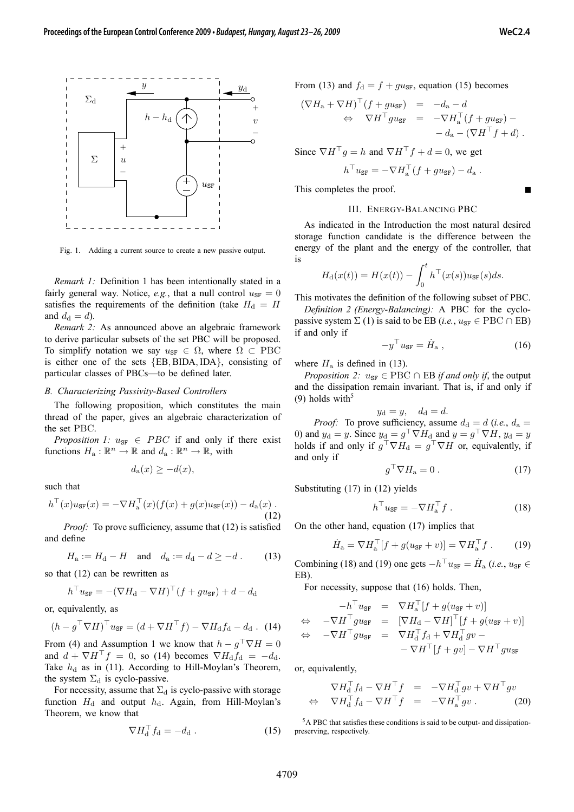

Fig. 1. Adding a current source to create a new passive output.

*Remark 1:* Definition 1 has been intentionally stated in a fairly general way. Notice, *e.g.*, that a null control  $u_{SF} = 0$ satisfies the requirements of the definition (take  $H_d = H$ and  $d_d = d$ ).

*Remark 2:* As announced above an algebraic framework to derive particular subsets of the set PBC will be proposed. To simplify notation we say  $u_{SF} \in \Omega$ , where  $\Omega \subset PBC$ is either one of the sets {EB,BIDA,IDA}, consisting of particular classes of PBCs—to be defined later.

### *B. Characterizing Passivity-Based Controllers*

The following proposition, which constitutes the main thread of the paper, gives an algebraic characterization of the set PBC.

*Proposition 1:*  $u_{SF} \in PBC$  if and only if there exist functions  $H_a: \mathbb{R}^n \to \mathbb{R}$  and  $d_a: \mathbb{R}^n \to \mathbb{R}$ , with

$$
d_{\mathbf{a}}(x) \geq -d(x),
$$

such that

$$
h^{\top}(x)u_{\text{SF}}(x) = -\nabla H_a^{\top}(x)(f(x) + g(x)u_{\text{SF}}(x)) - d_a(x) .
$$
\n(12)

*Proof:* To prove sufficiency, assume that (12) is satisfied and define

$$
H_a := H_d - H
$$
 and  $d_a := d_d - d \ge -d$ . (13)

so that (12) can be rewritten as

$$
h^{\top} u_{\text{SF}} = -(\nabla H_{\text{d}} - \nabla H)^{\top} (f + g u_{\text{SF}}) + d - d_{\text{d}}
$$

or, equivalently, as

$$
(h - g^{\top} \nabla H)^{\top} u_{\text{SF}} = (d + \nabla H^{\top} f) - \nabla H_{\text{d}} f_{\text{d}} - d_{\text{d}} \ . \ (14)
$$

From (4) and Assumption 1 we know that  $h - g^{\top} \nabla H = 0$ and  $d + \nabla H^{\top} f = 0$ , so (14) becomes  $\nabla H_d f_d = -d_d$ . Take  $h_d$  as in (11). According to Hill-Moylan's Theorem, the system  $\Sigma_d$  is cyclo-passive.

For necessity, assume that  $\Sigma_d$  is cyclo-passive with storage function  $H_d$  and output  $h_d$ . Again, from Hill-Moylan's Theorem, we know that

$$
\nabla H_{\mathbf{d}}^{\top} f_{\mathbf{d}} = -d_{\mathbf{d}} . \tag{15}
$$

From (13) and  $f_d = f + gu_{SF}$ , equation (15) becomes

$$
(\nabla H_{\mathbf{a}} + \nabla H)^{\top} (f + g u_{\mathbf{SF}}) = -d_{\mathbf{a}} - d
$$
  
\n
$$
\Leftrightarrow \nabla H^{\top} g u_{\mathbf{SF}} = -\nabla H_{\mathbf{a}}^{\top} (f + g u_{\mathbf{SF}}) -
$$
  
\n
$$
-d_{\mathbf{a}} - (\nabla H^{\top} f + d).
$$

Since  $\nabla H^{\top} g = h$  and  $\nabla H^{\top} f + d = 0$ , we get

$$
h^{\top}u_{\text{SF}} = -\nabla H_a^{\top} (f + gu_{\text{SF}}) - d_a.
$$

This completes the proof.

#### III. ENERGY-BALANCING PBC

As indicated in the Introduction the most natural desired storage function candidate is the difference between the energy of the plant and the energy of the controller, that is

$$
H_{\mathrm{d}}(x(t)) = H(x(t)) - \int_0^t h^\top(x(s))u_{\mathrm{SF}}(s)ds.
$$

This motivates the definition of the following subset of PBC.

*Definition 2 (Energy-Balancing):* A PBC for the cyclopassive system  $\Sigma$  (1) is said to be EB (*i.e.*,  $u_{SF} \in PBC \cap EB$ ) if and only if

$$
-y^{\top}u_{\rm SF} = \dot{H}_{\rm a} \,, \tag{16}
$$

where  $H_a$  is defined in (13).

*Proposition 2:*  $u_{SF} \in PBC \cap EB$  *if and only if, the output* and the dissipation remain invariant. That is, if and only if (9) holds with $5$ 

$$
y_{\mathbf{d}} = y, \quad d_{\mathbf{d}} = d.
$$

*Proof:* To prove sufficiency, assume  $d_d = d$  (*i.e.*,  $d_a =$ 0) and  $y_d = y$ . Since  $y_d = g^{\top} \nabla H_d$  and  $y = g^{\top} \nabla H$ ,  $y_d = y$ holds if and only if  $g^{\dagger} \nabla H_d = g^{\dagger} \nabla H$  or, equivalently, if and only if

$$
g^{\top} \nabla H_{\mathbf{a}} = 0. \qquad (17)
$$

Substituting (17) in (12) yields

$$
h^{\top} u_{\rm SF} = -\nabla H_{\rm a}^{\top} f \ . \tag{18}
$$

On the other hand, equation (17) implies that

$$
\dot{H}_a = \nabla H_a^\top [f + g(u_{\text{SF}} + v)] = \nabla H_a^\top f. \qquad (19)
$$

Combining (18) and (19) one gets  $-h^{\top}u_{SF} = \dot{H}_a$  (*i.e.*,  $u_{SF} \in$ EB).

For necessity, suppose that (16) holds. Then,

$$
-h^{\top}u_{\text{SF}} = \nabla H_{\text{a}}^{\top} [f + g(u_{\text{SF}} + v)]
$$
  
\n
$$
\Leftrightarrow -\nabla H^{\top} g u_{\text{SF}} = [\nabla H_{\text{d}} - \nabla H]^{\top} [f + g(u_{\text{SF}} + v)]
$$
  
\n
$$
\Leftrightarrow -\nabla H^{\top} g u_{\text{SF}} = \nabla H_{\text{d}}^{\top} f_{\text{d}} + \nabla H_{\text{d}}^{\top} g v -
$$
  
\n
$$
-\nabla H^{\top} [f + gv] - \nabla H^{\top} g u_{\text{SF}}
$$

or, equivalently,

$$
\nabla H_{\rm d}^\top f_{\rm d} - \nabla H^\top f = -\nabla H_{\rm d}^\top g v + \nabla H^\top g v \n\Leftrightarrow \nabla H_{\rm d}^\top f_{\rm d} - \nabla H^\top f = -\nabla H_{\rm a}^\top g v.
$$
\n(20)

5A PBC that satisfies these conditions is said to be output- and dissipationpreserving, respectively.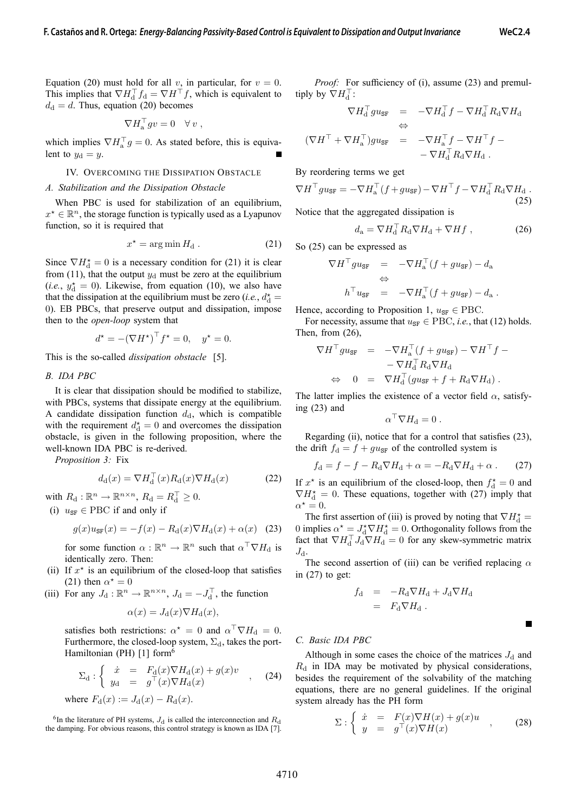Equation (20) must hold for all v, in particular, for  $v = 0$ . This implies that  $\nabla H_{\mathrm{d}}^{\top} f_{\mathrm{d}} = \nabla H^{\top} f$ , which is equivalent to  $d_d = d$ . Thus, equation (20) becomes

$$
\nabla H_\mathbf{a}^\top gv=0\quad\forall\,v\;,
$$

which implies  $\nabla H_a^{\top} g = 0$ . As stated before, this is equivalent to  $y_d = y$ .

#### IV. OVERCOMING THE DISSIPATION OBSTACLE

## *A. Stabilization and the Dissipation Obstacle*

When PBC is used for stabilization of an equilibrium,  $x^* \in \mathbb{R}^n$ , the storage function is typically used as a Lyapunov function, so it is required that

$$
x^* = \arg\min H_{\rm d} \ . \tag{21}
$$

Since  $\nabla H_d^* = 0$  is a necessary condition for (21) it is clear from (11), that the output  $y_d$  must be zero at the equilibrium  $(i.e., y_d^* = 0)$ . Likewise, from equation (10), we also have that the dissipation at the equilibrium must be zero (*i.e.*,  $d_d^* =$ 0). EB PBCs, that preserve output and dissipation, impose then to the *open-loop* system that

$$
d^* = -(\nabla H^*)^\top f^* = 0, \quad y^* = 0.
$$

This is the so-called *dissipation obstacle* [5].

## *B. IDA PBC*

It is clear that dissipation should be modified to stabilize, with PBCs, systems that dissipate energy at the equilibrium. A candidate dissipation function  $d_d$ , which is compatible with the requirement  $d_d^* = 0$  and overcomes the dissipation obstacle, is given in the following proposition, where the well-known IDA PBC is re-derived.

*Proposition 3:* Fix

$$
d_{\mathbf{d}}(x) = \nabla H_{\mathbf{d}}^{\top}(x) R_{\mathbf{d}}(x) \nabla H_{\mathbf{d}}(x) \tag{22}
$$

with  $R_d : \mathbb{R}^n \to \mathbb{R}^{n \times n}$ ,  $R_d = R_d^{\top} \geq 0$ . (i)  $u_{SF} \in PBC$  if and only if

$$
g(x)u_{\text{SF}}(x) = -f(x) - R_d(x)\nabla H_d(x) + \alpha(x) \quad (23)
$$

for some function  $\alpha : \mathbb{R}^n \to \mathbb{R}^n$  such that  $\alpha^\top \nabla H_d$  is identically zero. Then:

- (ii) If  $x^*$  is an equilibrium of the closed-loop that satisfies (21) then  $\alpha^* = 0$
- (iii) For any  $J_d : \mathbb{R}^n \to \mathbb{R}^{n \times n}$ ,  $J_d = -J_d^{\top}$ , the function

$$
\alpha(x) = J_{\mathbf{d}}(x)\nabla H_{\mathbf{d}}(x),
$$

satisfies both restrictions:  $\alpha^* = 0$  and  $\alpha^{\top} \nabla H_d = 0$ . Furthermore, the closed-loop system,  $\Sigma_d$ , takes the port-Hamiltonian (PH) [1] form<sup>6</sup>

$$
\Sigma_{\rm d} : \begin{cases} \dot{x} = F_{\rm d}(x) \nabla H_{\rm d}(x) + g(x)v \\ y_{\rm d} = g^\top(x) \nabla H_{\rm d}(x) \end{cases} , \quad (24)
$$

where  $F_d(x) := J_d(x) - R_d(x)$ .

<sup>6</sup>In the literature of PH systems,  $J_d$  is called the interconnection and  $R_d$ the damping. For obvious reasons, this control strategy is known as IDA [7].

*Proof:* For sufficiency of (i), assume (23) and premultiply by  $\check{\nabla} H_{\mathrm{d}}^{\top}$ :

$$
\nabla H_{\mathbf{d}}^{\top} g u_{\mathbf{SF}} = -\nabla H_{\mathbf{d}}^{\top} f - \nabla H_{\mathbf{d}}^{\top} R_{\mathbf{d}} \nabla H_{\mathbf{d}}
$$
  
\n
$$
\Leftrightarrow
$$
  
\n
$$
(\nabla H^{\top} + \nabla H_{\mathbf{a}}^{\top}) g u_{\mathbf{SF}} = -\nabla H_{\mathbf{a}}^{\top} f - \nabla H^{\top} f -
$$
  
\n
$$
-\nabla H_{\mathbf{d}}^{\top} R_{\mathbf{d}} \nabla H_{\mathbf{d}}.
$$

By reordering terms we get

$$
\nabla H^{\top} g u_{\rm SF} = -\nabla H_{\rm a}^{\top} (f + g u_{\rm SF}) - \nabla H^{\top} f - \nabla H_{\rm d}^{\top} R_{\rm d} \nabla H_{\rm d}.
$$
\n(25)

Notice that the aggregated dissipation is

$$
d_{\rm a} = \nabla H_{\rm d}^\top R_{\rm d} \nabla H_{\rm d} + \nabla H f \,, \tag{26}
$$

So (25) can be expressed as

$$
\nabla H^{\top} g u_{\text{SF}} = -\nabla H_{\text{a}}^{\top} (f + g u_{\text{SF}}) - d_{\text{a}}
$$
  
\n
$$
\Leftrightarrow
$$
  
\n
$$
h^{\top} u_{\text{SF}} = -\nabla H_{\text{a}}^{\top} (f + g u_{\text{SF}}) - d_{\text{a}}.
$$

Hence, according to Proposition 1,  $u_{SF} \in PBC$ .

For necessity, assume that  $u_{SF} \in PBC$ , *i.e.*, that (12) holds. Then, from (26),

$$
\nabla H^{\top} g u_{\text{SF}} = -\nabla H_{\text{a}}^{\top} (f + g u_{\text{SF}}) - \nabla H^{\top} f -
$$

$$
-\nabla H_{\text{d}}^{\top} R_{\text{d}} \nabla H_{\text{d}}
$$

$$
\Leftrightarrow \quad 0 \quad = \quad \nabla H_{\text{d}}^{\top} (g u_{\text{SF}} + f + R_{\text{d}} \nabla H_{\text{d}}) \ .
$$

The latter implies the existence of a vector field  $\alpha$ , satisfying (23) and

$$
\alpha^{\top} \nabla H_{\rm d} = 0 \; .
$$

Regarding (ii), notice that for a control that satisfies (23), the drift  $f_d = f + gu_{SF}$  of the controlled system is

$$
f_{\rm d} = f - f - R_{\rm d} \nabla H_{\rm d} + \alpha = -R_{\rm d} \nabla H_{\rm d} + \alpha \,. \tag{27}
$$

If  $x^*$  is an equilibrium of the closed-loop, then  $f_d^* = 0$  and  $\nabla H_d^* = 0$ . These equations, together with (27) imply that  $\alpha^* = 0.$ 

The first assertion of (iii) is proved by noting that  $\nabla H_d^* =$ 0 implies  $\alpha^* = J_d^* \nabla H_d^* = 0$ . Orthogonality follows from the fact that  $\nabla H_d^{\top} J_d \nabla H_d = 0$  for any skew-symmetric matrix  $J_{\rm d}$ .

The second assertion of (iii) can be verified replacing  $\alpha$ in  $(27)$  to get:

$$
f_{\rm d} = -R_{\rm d} \nabla H_{\rm d} + J_{\rm d} \nabla H_{\rm d}
$$
  
=  $F_{\rm d} \nabla H_{\rm d}$ .

# *C. Basic IDA PBC*

Although in some cases the choice of the matrices  $J_d$  and  $R_d$  in IDA may be motivated by physical considerations, besides the requirement of the solvability of the matching equations, there are no general guidelines. If the original system already has the PH form

$$
\Sigma: \begin{cases} \dot{x} = F(x)\nabla H(x) + g(x)u \\ y = g^\top(x)\nabla H(x) \end{cases} , \qquad (28)
$$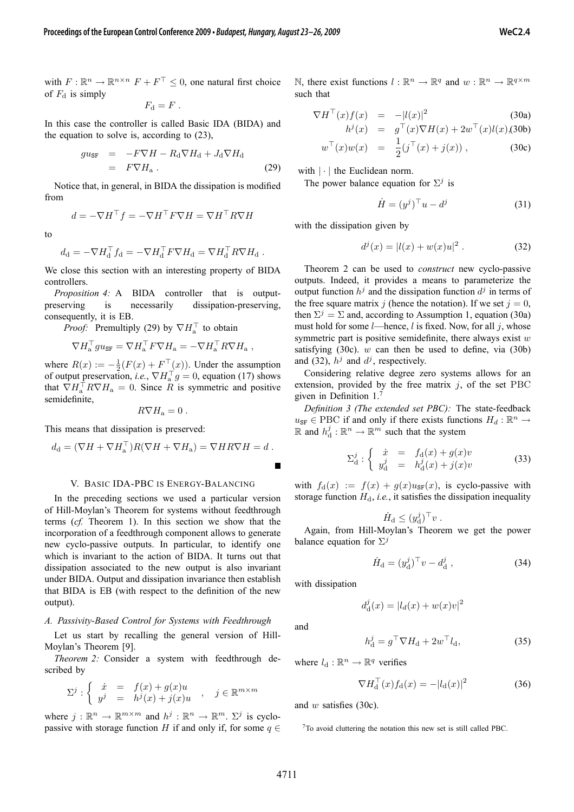with  $F: \mathbb{R}^n \to \mathbb{R}^{n \times n}$   $F + F^{\top} \leq 0$ , one natural first choice of  $F_d$  is simply

$$
F_{\rm d}=F.
$$

In this case the controller is called Basic IDA (BIDA) and the equation to solve is, according to (23),

$$
gu_{\rm SF} = -F\nabla H - R_{\rm d}\nabla H_{\rm d} + J_{\rm d}\nabla H_{\rm d}
$$
  
=  $F\nabla H_{\rm a}$ . (29)

Notice that, in general, in BIDA the dissipation is modified from

$$
d = -\nabla H^{\top} f = -\nabla H^{\top} F \nabla H = \nabla H^{\top} R \nabla H
$$

to

$$
d_{\rm d} = -\nabla H_{\rm d}^\top f_{\rm d} = -\nabla H_{\rm d}^\top F \nabla H_{\rm d} = \nabla H_{\rm d}^\top R \nabla H_{\rm d}.
$$

We close this section with an interesting property of BIDA controllers.

*Proposition 4:* A BIDA controller that is outputpreserving is necessarily dissipation-preserving, consequently, it is EB.

*Proof:* Premultiply (29) by  $\nabla H_a^{\top}$  to obtain

$$
\nabla H_{\mathbf{a}}^\top g u_{\mathrm{SF}} = \nabla H_{\mathbf{a}}^\top F \nabla H_{\mathbf{a}} = - \nabla H_{\mathbf{a}}^\top R \nabla H_{\mathbf{a}} \;,
$$

where  $R(x) := -\frac{1}{2}(F(x) + F^{\top}(x))$ . Under the assumption of output preservation, *i.e.*,  $\nabla H_a^{\top} g = 0$ , equation (17) shows that  $\nabla H_a^{\dagger} R \nabla H_a = 0$ . Since R is symmetric and positive semidefinite,

$$
R\nabla H_{\rm a}=0.
$$

This means that dissipation is preserved:

$$
d_{\mathbf{d}} = (\nabla H + \nabla H_{\mathbf{a}}^{\top})R(\nabla H + \nabla H_{\mathbf{a}}) = \nabla H R \nabla H = d.
$$

## V. BASIC IDA-PBC IS ENERGY-BALANCING

In the preceding sections we used a particular version of Hill-Moylan's Theorem for systems without feedthrough terms (*cf.* Theorem 1). In this section we show that the incorporation of a feedthrough component allows to generate new cyclo-passive outputs. In particular, to identify one which is invariant to the action of BIDA. It turns out that dissipation associated to the new output is also invariant under BIDA. Output and dissipation invariance then establish that BIDA is EB (with respect to the definition of the new output).

#### *A. Passivity-Based Control for Systems with Feedthrough*

Let us start by recalling the general version of Hill-Moylan's Theorem [9].

*Theorem 2:* Consider a system with feedthrough described by

$$
\Sigma^{j} : \begin{cases} \dot{x} = f(x) + g(x)u \\ y^{j} = h^{j}(x) + j(x)u \end{cases}, \quad j \in \mathbb{R}^{m \times m}
$$

where  $j : \mathbb{R}^n \to \mathbb{R}^{m \times m}$  and  $h^j : \mathbb{R}^n \to \mathbb{R}^m$ .  $\Sigma^j$  is cyclopassive with storage function H if and only if, for some  $q \in$  N, there exist functions  $l : \mathbb{R}^n \to \mathbb{R}^q$  and  $w : \mathbb{R}^n \to \mathbb{R}^{q \times m}$ such that

$$
\nabla H^{\top}(x)f(x) = -|l(x)|^2 \tag{30a}
$$

$$
h^{j}(x) = g^{\top}(x)\nabla H(x) + 2w^{\top}(x)l(x),
$$
 (30b)  

$$
w^{\top}(x)w(x) = \frac{1}{2}(j^{\top}(x) + j(x)),
$$
 (30c)

with  $|\cdot|$  the Euclidean norm.

The power balance equation for  $\Sigma^j$  is

$$
\dot{H} = (y^j)^\top u - d^j \tag{31}
$$

with the dissipation given by

$$
d^{j}(x) = |l(x) + w(x)u|^{2}.
$$
 (32)

Theorem 2 can be used to *construct* new cyclo-passive outputs. Indeed, it provides a means to parameterize the output function  $h<sup>j</sup>$  and the dissipation function  $d<sup>j</sup>$  in terms of the free square matrix j (hence the notation). If we set  $j = 0$ , then  $\Sigma^{j} = \Sigma$  and, according to Assumption 1, equation (30a) must hold for some *l*—hence, *l* is fixed. Now, for all  $j$ , whose symmetric part is positive semidefinite, there always exist  $w$ satisfying (30c).  $w$  can then be used to define, via (30b) and (32),  $h^j$  and  $d^j$ , respectively.

Considering relative degree zero systems allows for an extension, provided by the free matrix  $j$ , of the set PBC given in Definition 1.7

*Definition 3 (The extended set PBC):* The state-feedback  $u_{\text{SF}} \in \text{PBC}$  if and only if there exists functions  $H_d : \mathbb{R}^n \to$ **R** and  $h_d^j : \mathbb{R}^n \to \mathbb{R}^m$  such that the system

$$
\Sigma_{\mathbf{d}}^j : \begin{cases}\n\dot{x} = f_{\mathbf{d}}(x) + g(x)v \\
y_{\mathbf{d}}^j = h_{\mathbf{d}}^j(x) + j(x)v\n\end{cases} \tag{33}
$$

with  $f_d(x) := f(x) + g(x)u_{SF}(x)$ , is cyclo-passive with storage function  $H_d$ , *i.e.*, it satisfies the dissipation inequality

$$
\dot{H}_{\rm d} \leq (y_{\rm d}^j)^\top v \ .
$$

Again, from Hill-Moylan's Theorem we get the power balance equation for  $\Sigma^{j}$ 

 $d_{\rm d}^{j}(x) = |l_{d}(x) + w(x)v|^{2}$ 

$$
\dot{H}_{\rm d} = (y_{\rm d}^j)^\top v - d_{\rm d}^j \,, \tag{34}
$$

with dissipation

and

$$
f_{\rm{max}}
$$

$$
h_{\mathbf{d}}^{j} = g^{\top} \nabla H_{\mathbf{d}} + 2w^{\top} l_{\mathbf{d}},
$$
\n(35)

where  $l_d : \mathbb{R}^n \to \mathbb{R}^q$  verifies

$$
\nabla H_{\mathbf{d}}^{\top}(x)f_{\mathbf{d}}(x) = -|l_{\mathbf{d}}(x)|^2 \tag{36}
$$

and w satisfies (30c).

7To avoid cluttering the notation this new set is still called PBC.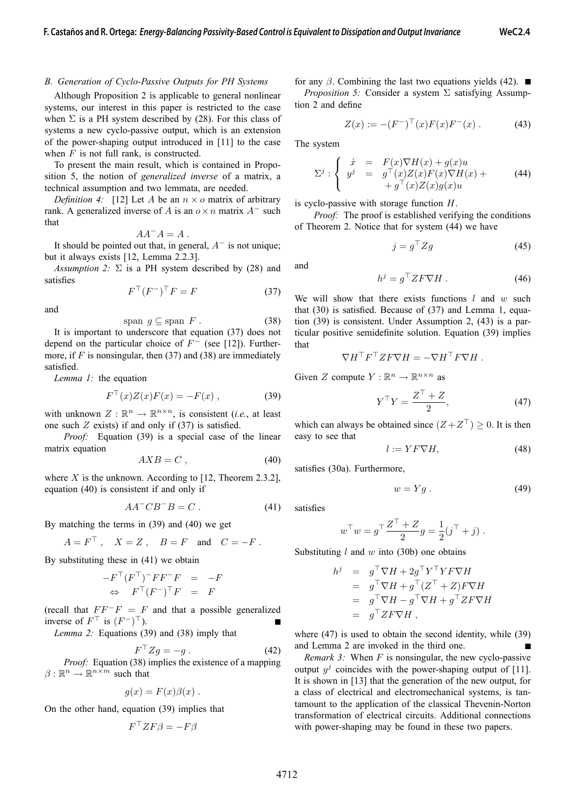# *B. Generation of Cyclo-Passive Outputs for PH Systems*

Although Proposition 2 is applicable to general nonlinear systems, our interest in this paper is restricted to the case when  $\Sigma$  is a PH system described by (28). For this class of systems a new cyclo-passive output, which is an extension of the power-shaping output introduced in [11] to the case when  $F$  is not full rank, is constructed.

To present the main result, which is contained in Proposition 5, the notion of *generalized inverse* of a matrix, a technical assumption and two lemmata, are needed.

*Definition 4:* [12] Let A be an  $n \times o$  matrix of arbitrary rank. A generalized inverse of A is an  $o \times n$  matrix  $A^-$  such that

$$
AA^{-}A=A.
$$

It should be pointed out that, in general,  $A^-$  is not unique; but it always exists [12, Lemma 2.2.3].

*Assumption 2:* Σ is a PH system described by (28) and satisfies

$$
F^{\top}(F^-)^{\top}F = F \tag{37}
$$

and

$$
\text{span } g \subseteq \text{span } F. \tag{38}
$$

It is important to underscore that equation (37) does not depend on the particular choice of  $F^-$  (see [12]). Furthermore, if  $F$  is nonsingular, then (37) and (38) are immediately satisfied.

*Lemma 1:* the equation

$$
F^{\top}(x)Z(x)F(x) = -F(x) , \qquad (39)
$$

with unknown  $Z : \mathbb{R}^n \to \mathbb{R}^{n \times n}$ , is consistent *(i.e., at least* one such  $Z$  exists) if and only if (37) is satisfied.

*Proof:* Equation (39) is a special case of the linear matrix equation

$$
AXB = C \t{,} \t(40)
$$

where X is the unknown. According to [12, Theorem 2.3.2], equation (40) is consistent if and only if

$$
AA^{-}CB^{-}B = C.
$$
 (41)

By matching the terms in (39) and (40) we get

$$
A=F^\top\ ,\quad X=Z\ ,\quad B=F\quad \text{and}\quad C=-F\ .
$$

By substituting these in (41) we obtain

$$
-F^{\top}(F^{\top})^{-}F F^{-} F = -F
$$
  

$$
\Leftrightarrow F^{\top}(F^{-})^{\top} F = F
$$

(recall that  $FF^-F = F$  and that a possible generalized inverse of  $F^{\top}$  is  $(F^{-})^{\top}$ ).

*Lemma 2:* Equations (39) and (38) imply that

$$
F^{\top} Z g = -g \tag{42}
$$

*Proof:* Equation (38) implies the existence of a mapping  $\beta:\mathbb{R}^n\to\mathbb{R}^{n\times m}$  such that

$$
g(x) = F(x)\beta(x) .
$$

On the other hand, equation (39) implies that

$$
\boldsymbol{F}^\top \boldsymbol{Z} \boldsymbol{F} \boldsymbol{\beta} = - \boldsymbol{F} \boldsymbol{\beta}
$$

for any  $\beta$ . Combining the last two equations yields (42).  $\blacksquare$ 

*Proposition 5:* Consider a system Σ satisfying Assumption 2 and define

$$
Z(x) := -(F^{-})^{\top}(x)F(x)F^{-}(x) . \qquad (43)
$$

The system

$$
\Sigma^{j} : \begin{cases}\n\dot{x} = F(x)\nabla H(x) + g(x)u \\
y^{j} = g^{\top}(x)Z(x)F(x)\nabla H(x) + f(x)\n\end{cases}
$$
\n
$$
+ g^{\top}(x)Z(x)g(x)u
$$
\n(44)

is cyclo-passive with storage function H.

*Proof:* The proof is established verifying the conditions of Theorem 2. Notice that for system (44) we have

$$
j = g^{\top} Z g \tag{45}
$$

and

$$
h^j = g^\top Z F \nabla H \,. \tag{46}
$$

We will show that there exists functions  $l$  and  $w$  such that (30) is satisfied. Because of (37) and Lemma 1, equation (39) is consistent. Under Assumption 2, (43) is a particular positive semidefinite solution. Equation (39) implies that

$$
\nabla H^{\top} F^{\top} Z F \nabla H = - \nabla H^{\top} F \nabla H.
$$

Given Z compute  $Y : \mathbb{R}^n \to \mathbb{R}^{n \times n}$  as

$$
Y^{\top}Y = \frac{Z^{\top} + Z}{2},\tag{47}
$$

which can always be obtained since  $(Z + Z^{\top}) \ge 0$ . It is then easy to see that

$$
l := YF\nabla H,\t\t(48)
$$

satisfies (30a). Furthermore,

$$
w = Yg \tag{49}
$$

satisfies

$$
w^{\top}w = g^{\top} \frac{Z^{\top} + Z}{2} g = \frac{1}{2} (j^{\top} + j).
$$

Substituting  $l$  and  $w$  into (30b) one obtains

$$
h^{j} = g^{\top} \nabla H + 2g^{\top} Y^{\top} Y F \nabla H
$$
  
=  $g^{\top} \nabla H + g^{\top} (Z^{\top} + Z) F \nabla H$   
=  $g^{\top} \nabla H - g^{\top} \nabla H + g^{\top} Z F \nabla H$   
=  $g^{\top} Z F \nabla H$ ,

where (47) is used to obtain the second identity, while (39) and Lemma 2 are invoked in the third one.

*Remark 3:* When F is nonsingular, the new cyclo-passive output  $y^j$  coincides with the power-shaping output of [11]. It is shown in [13] that the generation of the new output, for a class of electrical and electromechanical systems, is tantamount to the application of the classical Thevenin-Norton transformation of electrical circuits. Additional connections with power-shaping may be found in these two papers.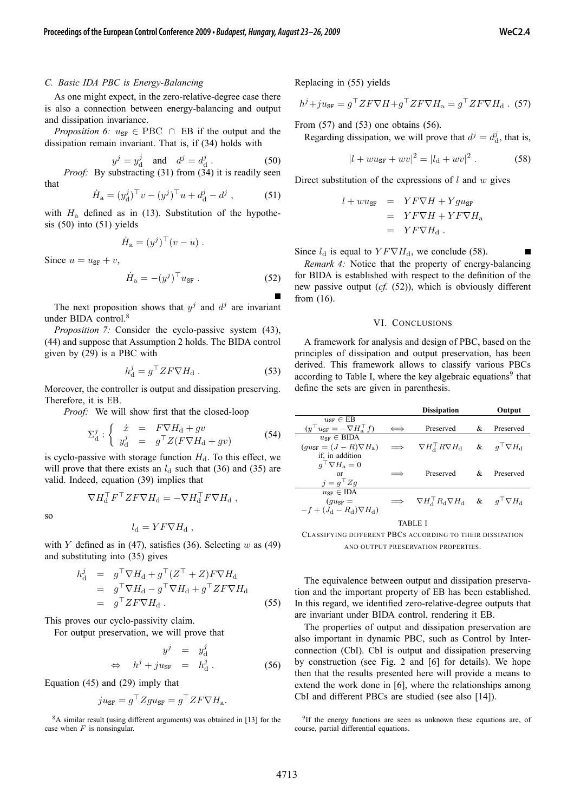# *C. Basic IDA PBC is Energy-Balancing*

As one might expect, in the zero-relative-degree case there is also a connection between energy-balancing and output and dissipation invariance.

*Proposition 6:*  $u_{SF} \in PBC \cap EB$  if the output and the dissipation remain invariant. That is, if (34) holds with

$$
y^j = y^j_d \quad \text{and} \quad d^j = d^j_d \,. \tag{50}
$$

*Proof:* By substracting (31) from (34) it is readily seen that

$$
\dot{H}_{\rm a} = (y_{\rm d}^j)^\top v - (y^j)^\top u + d_{\rm d}^j - d^j \,,\tag{51}
$$

with  $H_a$  defined as in (13). Substitution of the hypothesis (50) into (51) yields

$$
\dot{H}_a = (y^j)^\top (v - u) \; .
$$

Since  $u = u_{SF} + v$ ,

$$
\dot{H}_a = -(y^j)^\top u_{SF} . \tag{52}
$$

The next proposition shows that  $y^j$  and  $d^j$  are invariant under BIDA control.8

*Proposition 7:* Consider the cyclo-passive system (43), (44) and suppose that Assumption 2 holds. The BIDA control given by (29) is a PBC with

$$
h_{\rm d}^j = g^\top Z F \nabla H_{\rm d} \,. \tag{53}
$$

Moreover, the controller is output and dissipation preserving. Therefore, it is EB.

*Proof:* We will show first that the closed-loop

$$
\Sigma_{\rm d}^j : \begin{cases} \dot{x} = F \nabla H_{\rm d} + gv \\ y_{\rm d}^j = g^\top Z (F \nabla H_{\rm d} + gv) \end{cases} \tag{54}
$$

is cyclo-passive with storage function  $H_d$ . To this effect, we will prove that there exists an  $l_d$  such that (36) and (35) are valid. Indeed, equation (39) implies that

 $\nabla H_{\mathrm{d}}^{\top} F^{\top} Z F \nabla H_{\mathrm{d}} = - \nabla H_{\mathrm{d}}^{\top} F \nabla H_{\mathrm{d}} \;,$ 

so

$$
l_{\rm d} = YF\nabla H_{\rm d} ,
$$

with Y defined as in (47), satisfies (36). Selecting w as (49) and substituting into (35) gives

$$
h_{\rm d}^{j} = g^{\top} \nabla H_{\rm d} + g^{\top} (Z^{\top} + Z) F \nabla H_{\rm d}
$$
  
\n
$$
= g^{\top} \nabla H_{\rm d} - g^{\top} \nabla H_{\rm d} + g^{\top} Z F \nabla H_{\rm d}
$$
  
\n
$$
= g^{\top} Z F \nabla H_{\rm d} . \qquad (55)
$$

This proves our cyclo-passivity claim.

For output preservation, we will prove that

$$
y^{j} = y_{d}^{j}
$$
  
\n
$$
\Leftrightarrow h^{j} + j u_{\text{SF}} = h_{d}^{j}.
$$
 (56)

Equation (45) and (29) imply that

$$
ju_{\mathbf{SF}} = g^{\top} Zgu_{\mathbf{SF}} = g^{\top} ZF \nabla H_{\mathbf{a}}.
$$

8A similar result (using different arguments) was obtained in [13] for the case when  $F$  is nonsingular.

Replacing in (55) yields

$$
h^{j} + ju_{\text{SF}} = g^{\top} ZF \nabla H + g^{\top} ZF \nabla H_{\text{a}} = g^{\top} ZF \nabla H_{\text{d}} . (57)
$$

From (57) and (53) one obtains (56).

Regarding dissipation, we will prove that  $d^j = d_d^j$ , that is,

$$
|l + w u_{\rm SF} + w v|^2 = |l_{\rm d} + w v|^2. \tag{58}
$$

Direct substitution of the expressions of  $l$  and  $w$  gives

$$
l + w u_{\rm SF} = YF\nabla H + Y g u_{\rm SF}
$$
  
= 
$$
YF\nabla H + YF\nabla H_{\rm a}
$$
  
= 
$$
YF\nabla H_{\rm d}.
$$

Since  $l_d$  is equal to  $Y F \nabla H_d$ , we conclude (58).

*Remark 4:* Notice that the property of energy-balancing for BIDA is established with respect to the definition of the new passive output (*cf.* (52)), which is obviously different from (16).

# VI. CONCLUSIONS

A framework for analysis and design of PBC, based on the principles of dissipation and output preservation, has been derived. This framework allows to classify various PBCs according to Table I, where the key algebraic equations<sup>9</sup> that define the sets are given in parenthesis.

|                                            |            | <b>Dissipation</b>                                       |   | Output    |
|--------------------------------------------|------------|----------------------------------------------------------|---|-----------|
| $u$ sf $\in$ EB                            |            |                                                          |   |           |
| $(y^\top u_{\rm SF} = -\nabla H_a^\top f)$ |            | Preserved                                                | & | Preserved |
| $u_{SF} \in BIDA$                          |            |                                                          |   |           |
| $(gu_{\rm SF} = (J - R)\nabla H_{\rm a})$  | $\implies$ | $\nabla H_d^{\top} R \nabla H_d$ & $g^{\top} \nabla H_d$ |   |           |
| if, in addition                            |            |                                                          |   |           |
| $q^{\top} \nabla H_{\rm a} = 0$            |            |                                                          |   |           |
| or                                         |            | Preserved                                                | & | Preserved |
| $j = g^{\top} Z g$                         |            |                                                          |   |           |
| $u$ <sub>SF</sub> $\in$ IDA                |            |                                                          |   |           |
| $\mu_{\rm SF} =$                           |            | $\nabla H_d^\top R_d \nabla H_d$ & $g^\top \nabla H_d$   |   |           |
| $-f+(J_{\rm d}-R_{\rm d})\nabla H_{\rm d}$ |            |                                                          |   |           |
|                                            |            |                                                          |   |           |



CLASSIFYING DIFFERENT PBCS ACCORDING TO THEIR DISSIPATION AND OUTPUT PRESERVATION PROPERTIES.

The equivalence between output and dissipation preservation and the important property of EB has been established. In this regard, we identified zero-relative-degree outputs that are invariant under BIDA control, rendering it EB.

The properties of output and dissipation preservation are also important in dynamic PBC, such as Control by Interconnection (CbI). CbI is output and dissipation preserving by construction (see Fig. 2 and [6] for details). We hope then that the results presented here will provide a means to extend the work done in [6], where the relationships among CbI and different PBCs are studied (see also [14]).

<sup>&</sup>lt;sup>9</sup>If the energy functions are seen as unknown these equations are, of course, partial differential equations.